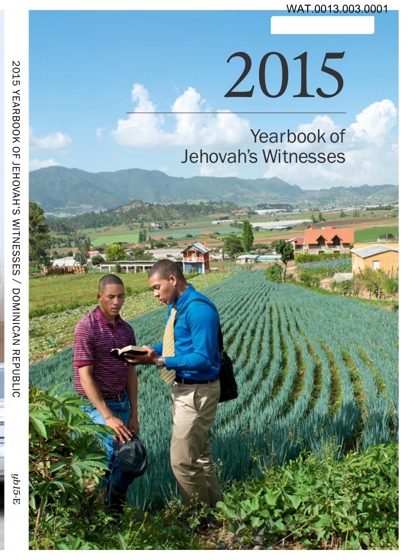# 2015

Yearbook of **Jehovah's Witnesses** 

**U-516u**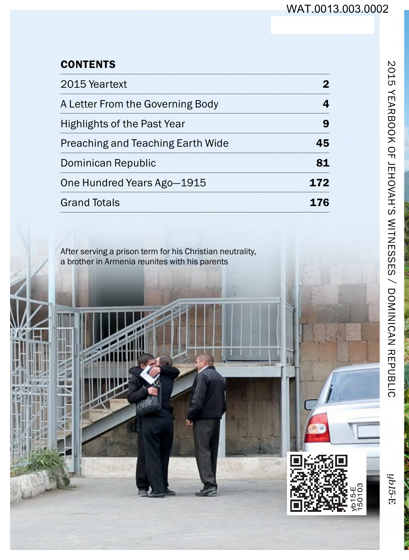#### **CONTENTS**

| 2015 Yeartext                     | 2   |
|-----------------------------------|-----|
| A Letter From the Governing Body  | 4   |
| Highlights of the Past Year       | 9   |
| Preaching and Teaching Earth Wide | 45  |
| Dominican Republic                | 81  |
| One Hundred Years Ago-1915        | 172 |
| <b>Grand Totals</b>               |     |

After serving a prison term for his Christian neutrality,<br>a brother in Armenia reunites with his parents



 $ybl5-E$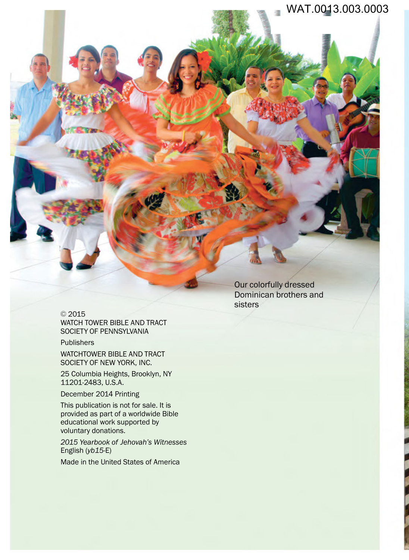#### WAT.0013.003.0003

© 2015 WATCH TOWER BIBLE AND TRACT SOCIETY OF PENNSYLVANIA

Publishers

WATCHTOWER BIBLE AND TRACT SOCIETY OF NEW YORK, INC.

25 Columbia Heights, Brooklyn, NY 11201-2483, U.S.A.

December 2014 Printing

This publication is not for sale. It is provided as part of a worldwide Bible educational work supported by voluntary donations.

*2015 Yearbook of Jehovah's Witnesses* English (*yb15*-E)

Made in the United States of America

Our colorfully dressed Dominican brothers and sisters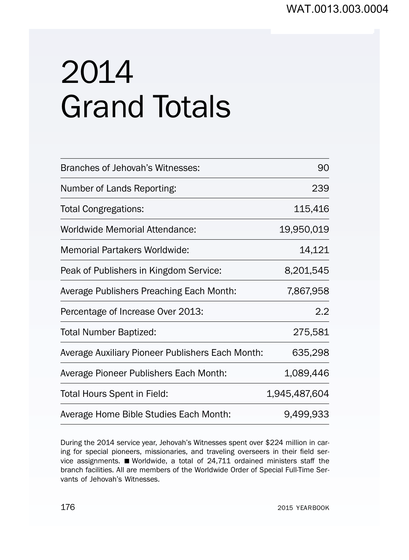## 2014 Grand Totals

| Branches of Jehovah's Witnesses:                 | 90            |  |  |  |
|--------------------------------------------------|---------------|--|--|--|
| Number of Lands Reporting:                       | 239           |  |  |  |
| <b>Total Congregations:</b>                      | 115,416       |  |  |  |
| Worldwide Memorial Attendance:                   | 19,950,019    |  |  |  |
| Memorial Partakers Worldwide:                    | 14,121        |  |  |  |
| Peak of Publishers in Kingdom Service:           | 8,201,545     |  |  |  |
| Average Publishers Preaching Each Month:         | 7,867,958     |  |  |  |
| Percentage of Increase Over 2013:                | 2.2           |  |  |  |
| <b>Total Number Baptized:</b>                    | 275,581       |  |  |  |
| Average Auxiliary Pioneer Publishers Each Month: | 635,298       |  |  |  |
| Average Pioneer Publishers Each Month:           | 1,089,446     |  |  |  |
| Total Hours Spent in Field:                      | 1,945,487,604 |  |  |  |
| Average Home Bible Studies Each Month:           | 9.499,933     |  |  |  |

During the 2014 service year, Jehovah's Witnesses spent over \$224 million in caring for special pioneers, missionaries, and traveling overseers in their field service assignments. Worldwide, a total of 24,711 ordained ministers staff the branch facilities. All are members of the Worldwide Order of Special Full-Time Servants of Jehovah's Witnesses.